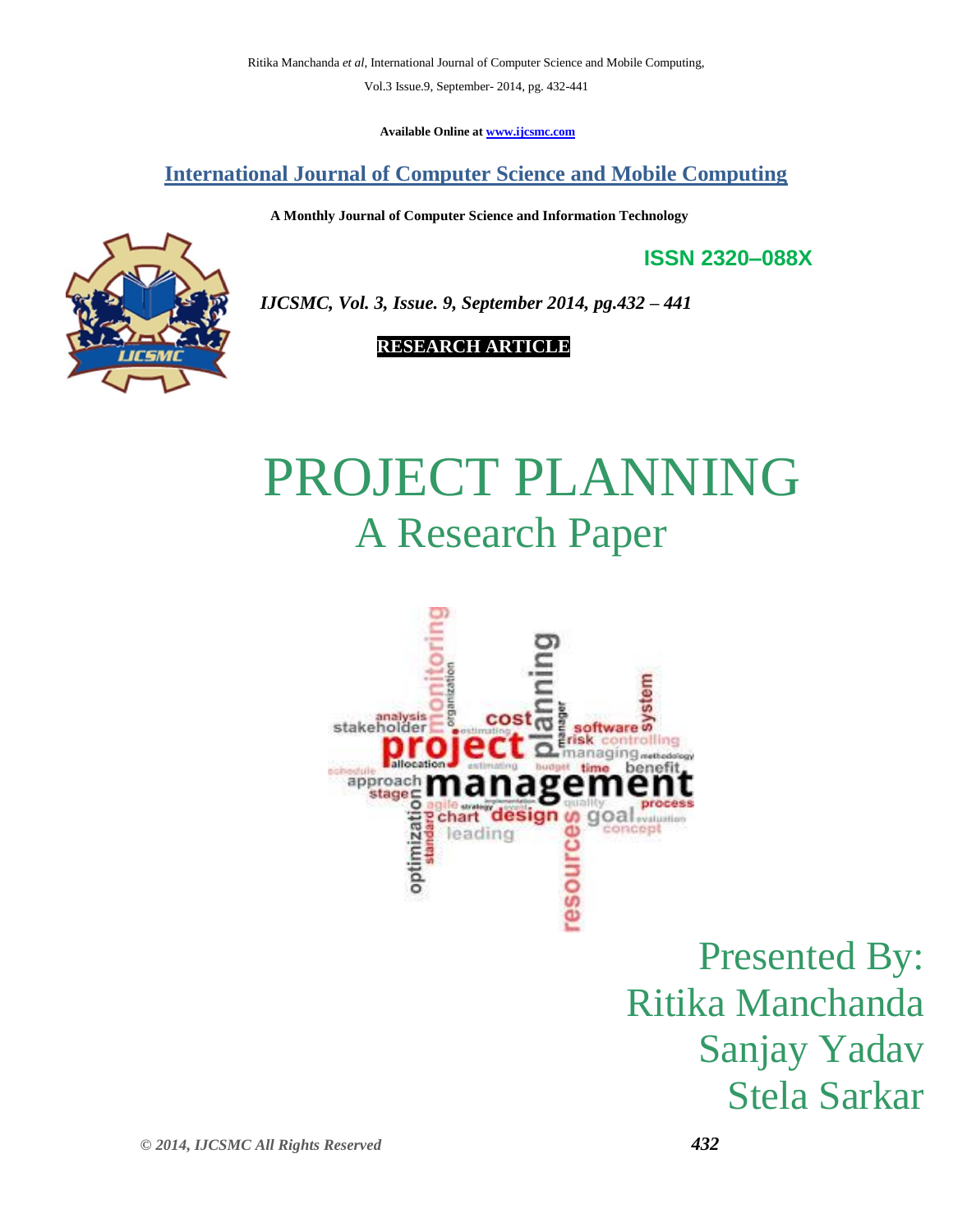Vol.3 Issue.9, September- 2014, pg. 432-441

**Available Online at [www.ijcsmc.com](http://www.ijcsmc.com/)**

## **International Journal of Computer Science and Mobile Computing**

 **A Monthly Journal of Computer Science and Information Technology**

**ISSN 2320–088X**

 *IJCSMC, Vol. 3, Issue. 9, September 2014, pg.432 – 441*

## **RESEARCH ARTICLE**

# PROJECT PLANNING A Research Paper



Presented By: Ritika Manchanda Sanjay Yadav Stela Sarkar

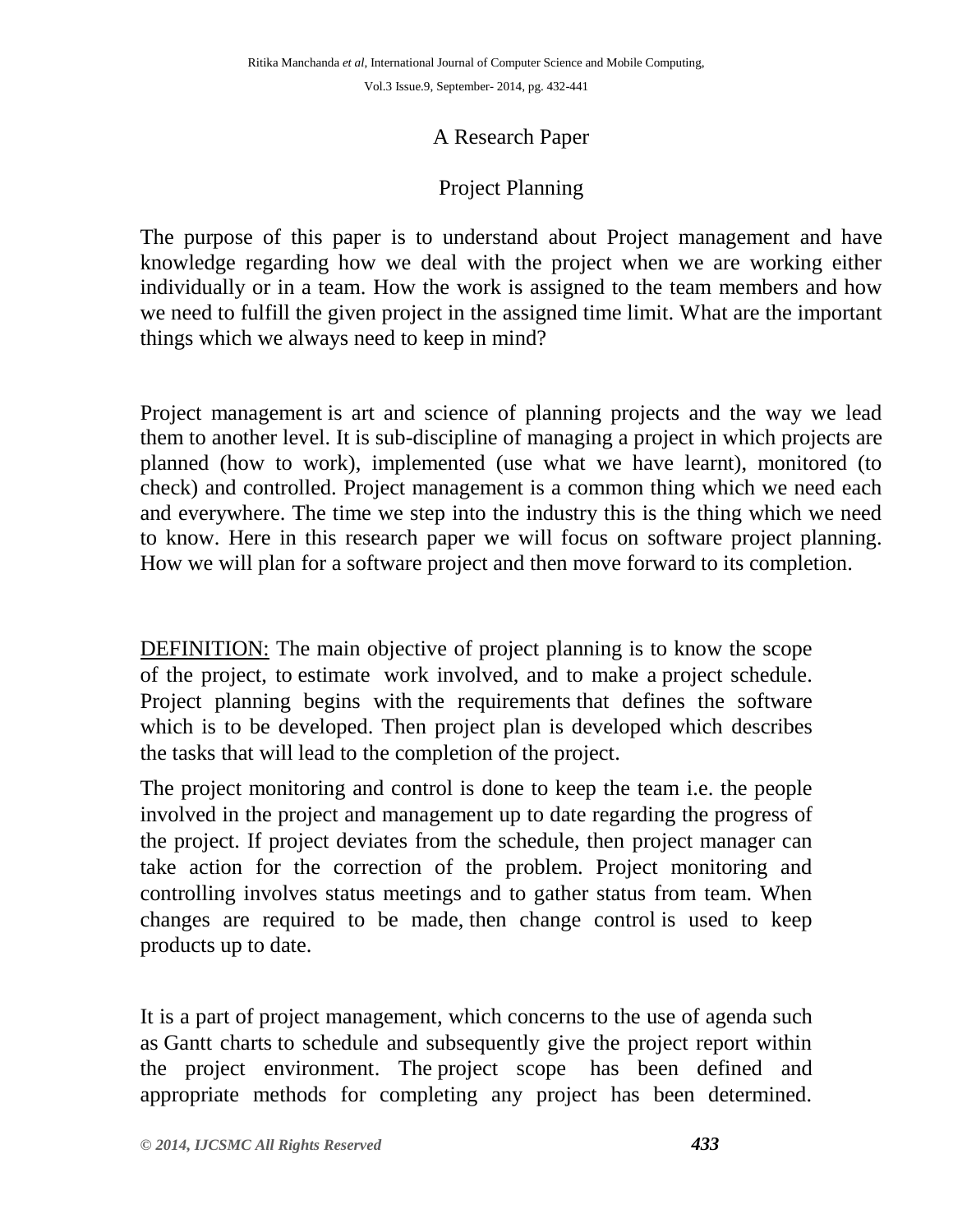Vol.3 Issue.9, September- 2014, pg. 432-441

#### A Research Paper

#### Project Planning

The purpose of this paper is to understand about Project management and have knowledge regarding how we deal with the project when we are working either individually or in a team. How the work is assigned to the team members and how we need to fulfill the given project in the assigned time limit. What are the important things which we always need to keep in mind?

Project management is art and science of planning projects and the way we lead them to another level. It is sub-discipline of managing a project in which projects are planned (how to work), implemented (use what we have learnt), monitored (to check) and controlled. Project management is a common thing which we need each and everywhere. The time we step into the industry this is the thing which we need to know. Here in this research paper we will focus on software project planning. How we will plan for a software project and then move forward to its completion.

DEFINITION: The main objective of project planning is to know the scope of the project, to [estimate](http://en.wikipedia.org/wiki/Estimation_in_software_engineering) work involved, and to make a [project schedule.](http://en.wikipedia.org/wiki/Gantt_chart) Project planning begins with the [requirements](http://en.wikipedia.org/wiki/Requirements_analysis) that defines the software which is to be developed. Then project plan is developed which describes the tasks that will lead to the completion of the project.

The project monitoring and control is done to keep the team i.e. the people involved in the project and management up to date regarding the progress of the project. If project deviates from the schedule, then project manager can take action for the correction of the problem. Project monitoring and controlling involves status meetings and to gather status from team. When changes are required to be made, then [change control](http://en.wikipedia.org/wiki/Change_control) is used to keep products up to date.

It is a part of [project management,](http://en.wikipedia.org/wiki/Project_management) which concerns to the use of agenda such as [Gantt charts](http://en.wikipedia.org/wiki/Gantt_chart) to schedule and subsequently give the project report within the project environment. The [project scope](http://en.wikipedia.org/wiki/Scope_(project_management)) has been defined and appropriate methods for completing any project has been determined.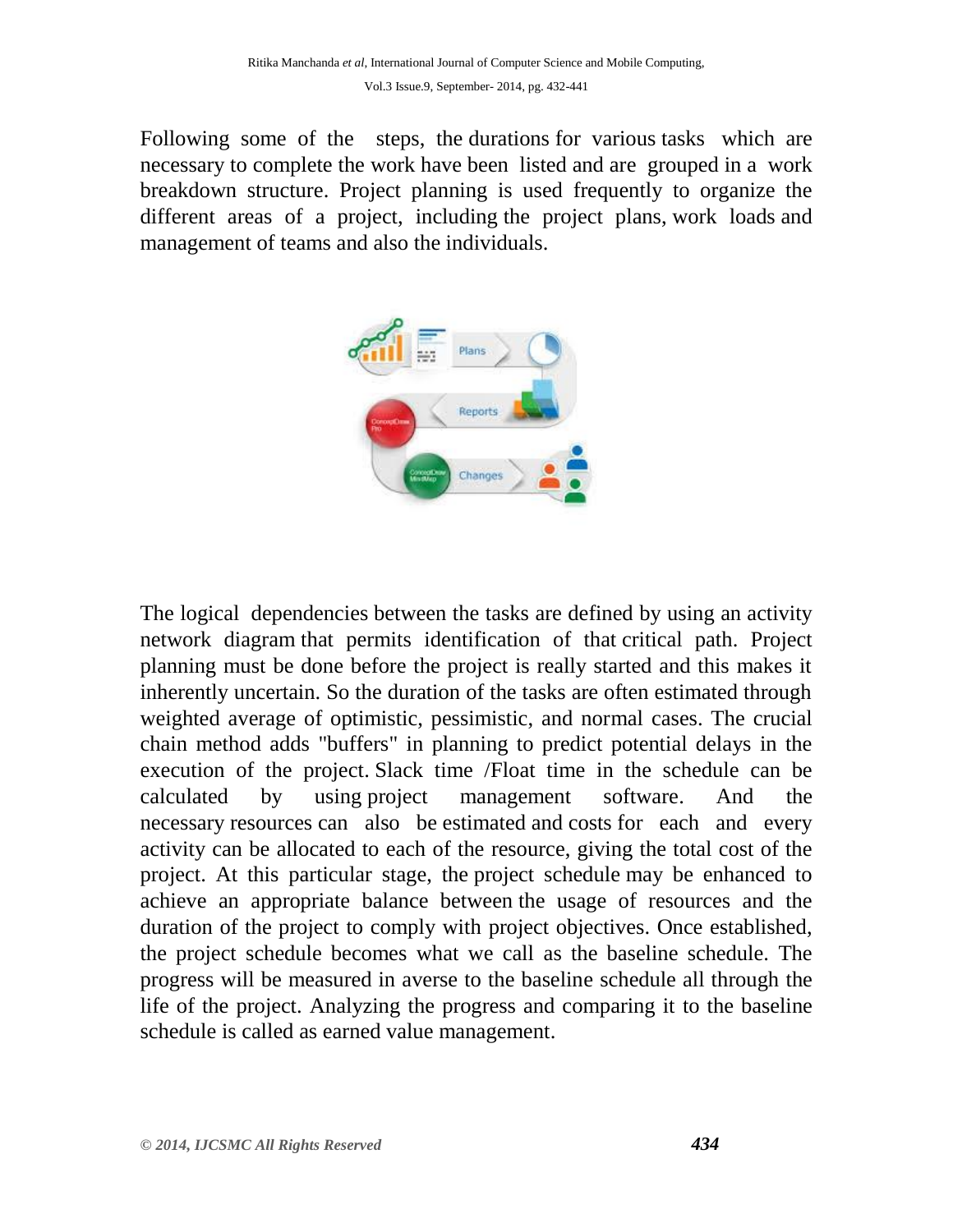Following some of the steps, the [durations](http://en.wikipedia.org/wiki/Duration_(project_management)) for various [tasks](http://en.wikipedia.org/wiki/Task_(project_management)) which are necessary to complete the [work](http://en.wikipedia.org/wiki/Work_(project_management)) have been listed and are grouped in a [work](http://en.wikipedia.org/wiki/Work_breakdown_structure)  [breakdown structure.](http://en.wikipedia.org/wiki/Work_breakdown_structure) Project planning is used frequently to organize the different areas of a project, including the [project plans,](http://en.wikipedia.org/wiki/Project_plan) [work loads](http://en.wikipedia.org/wiki/Work_load) and management of teams and also the individuals.



The logical [dependencies](http://en.wikipedia.org/wiki/Dependency_(project_management)) between the tasks are defined by using an [activity](http://en.wikipedia.org/wiki/Activity_network_diagram)  [network diagram](http://en.wikipedia.org/wiki/Activity_network_diagram) that permits identification of that [critical path.](http://en.wikipedia.org/wiki/Critical_path_method) Project planning must be done before the project is really started and this makes it inherently uncertain. So the duration of the tasks are often estimated through weighted average of optimistic, pessimistic, and normal cases. The crucial chain method adds "buffers" in planning to predict potential delays in the execution of the project. Slack time [/Float](http://en.wikipedia.org/wiki/Float_(project_management)) time in the schedule can be calculated by using [project management software.](http://en.wikipedia.org/wiki/Project_management_software) And the necessary [resources](http://en.wikipedia.org/wiki/Resource_(project_management)) can also be [estimated](http://en.wikipedia.org/wiki/Estimate) and [costs](http://en.wikipedia.org/wiki/Cost) for each and every activity can be allocated to each of the resource, giving the total cost of the project. At this particular stage, the [project schedule](http://en.wikipedia.org/wiki/Schedule_(project_management)) may be enhanced to achieve an appropriate balance between the usage of resources and the duration of the project to comply with project objectives. Once established, the project schedule becomes what we call as the baseline schedule. The progress will be measured in averse to the baseline schedule all through the life of the project. Analyzing the progress and comparing it to the baseline schedule is called as [earned value management.](http://en.wikipedia.org/wiki/Earned_value_management)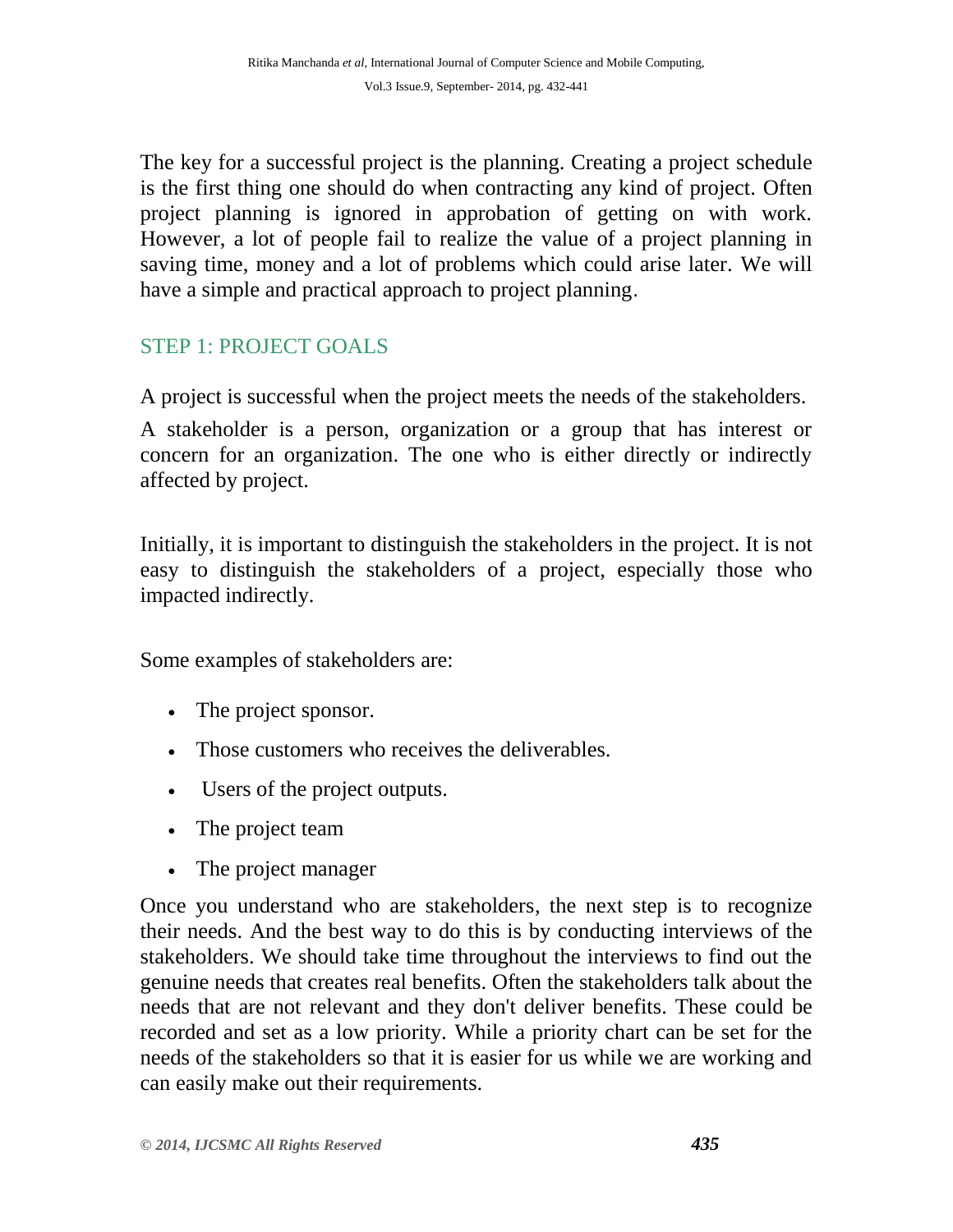The key for a successful project is the planning. Creating a project schedule is the first thing one should do when contracting any kind of project. Often project planning is ignored in approbation of getting on with work. However, a lot of people fail to realize the value of a project planning in saving time, money and a lot of problems which could arise later. We will have a simple and practical approach to project planning.

# STEP 1: PROJECT GOALS

A project is successful when the project meets the needs of the stakeholders.

A stakeholder is a person, organization or a group that has interest or concern for an organization. The one who is either directly or indirectly affected by project.

Initially, it is important to distinguish the stakeholders in the project. It is not easy to distinguish the stakeholders of a project, especially those who impacted indirectly.

Some examples of stakeholders are:

- The project sponsor.
- Those customers who receives the deliverables.
- Users of the project outputs.
- The project team
- The project manager

Once you understand who are stakeholders, the next step is to recognize their needs. And the best way to do this is by conducting interviews of the stakeholders. We should take time throughout the interviews to find out the genuine needs that creates real benefits. Often the stakeholders talk about the needs that are not relevant and they don't deliver benefits. These could be recorded and set as a low priority. While a priority chart can be set for the needs of the stakeholders so that it is easier for us while we are working and can easily make out their requirements.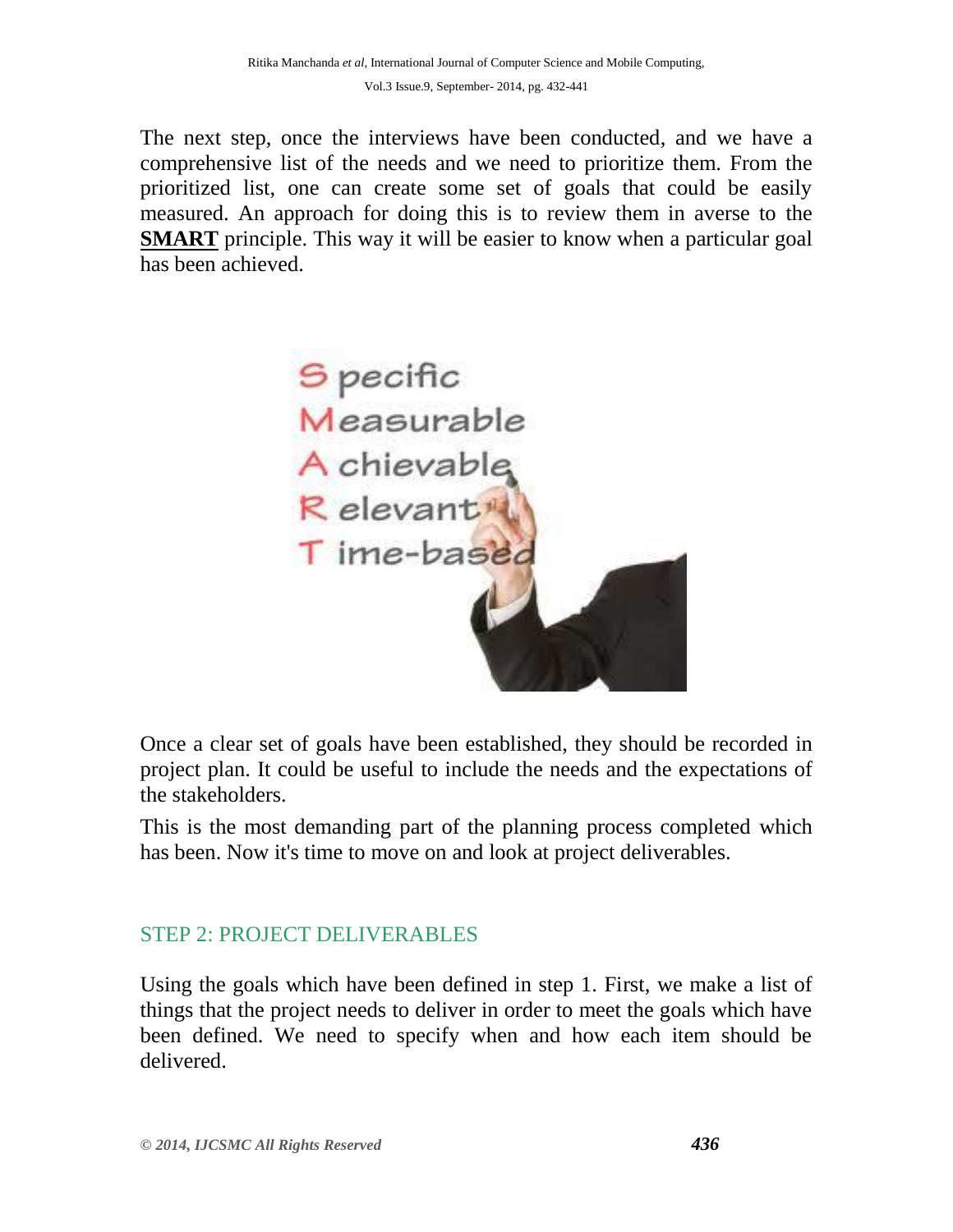The next step, once the interviews have been conducted, and we have a comprehensive list of the needs and we need to prioritize them. From the prioritized list, one can create some set of goals that could be easily measured. An approach for doing this is to review them in averse to the **SMART** principle. This way it will be easier to know when a particular goal has been achieved.



Once a clear set of goals have been established, they should be recorded in project plan. It could be useful to include the needs and the expectations of the stakeholders.

This is the most demanding part of the planning process completed which has been. Now it's time to move on and look at project deliverables.

# STEP 2: PROJECT DELIVERABLES

Using the goals which have been defined in step 1. First, we make a list of things that the project needs to deliver in order to meet the goals which have been defined. We need to specify when and how each item should be delivered.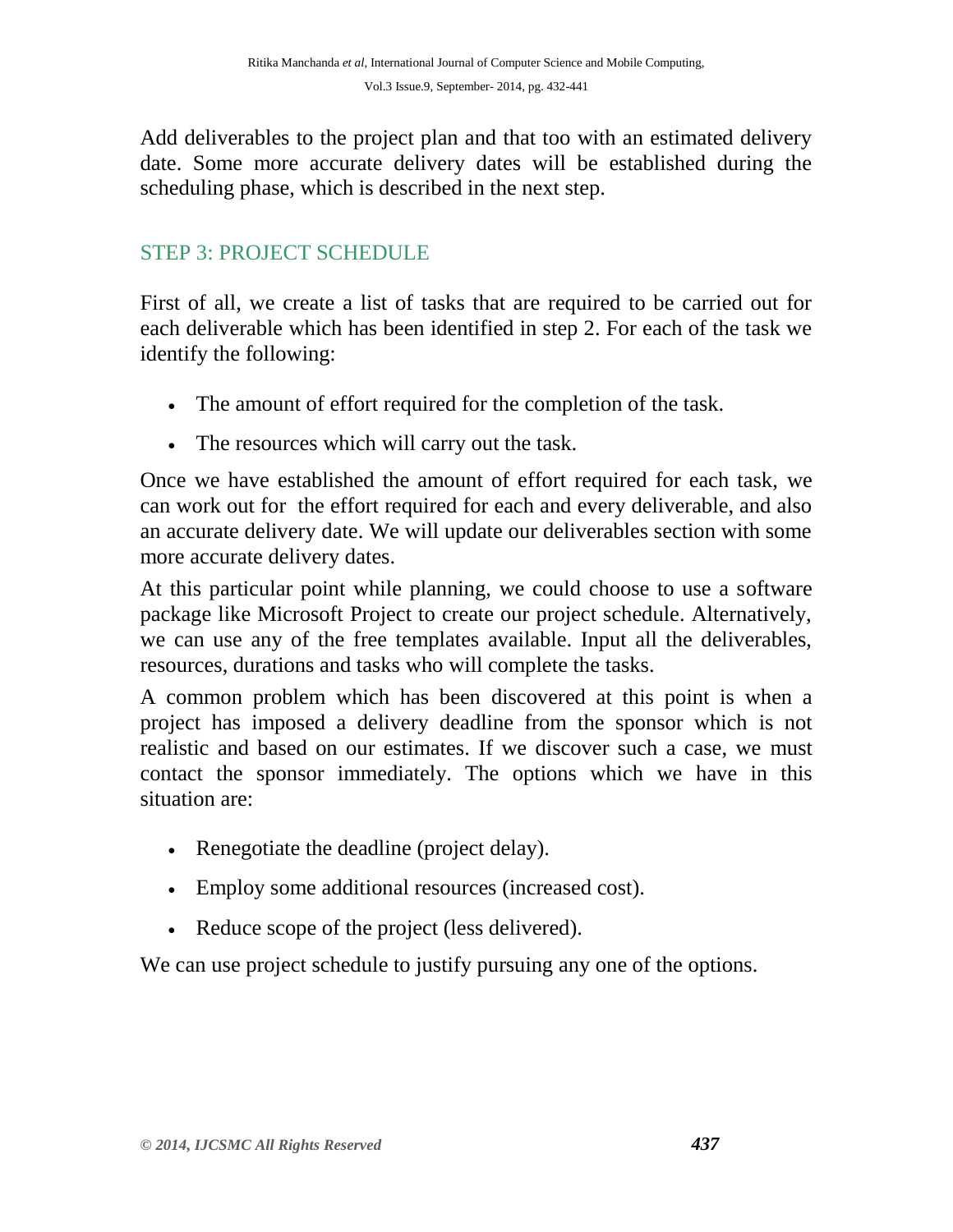Add deliverables to the project plan and that too with an estimated delivery date. Some more accurate delivery dates will be established during the scheduling phase, which is described in the next step.

## STEP 3: PROJECT SCHEDULE

First of all, we create a list of tasks that are required to be carried out for each deliverable which has been identified in step 2. For each of the task we identify the following:

- The amount of effort required for the completion of the task.
- The resources which will carry out the task.

Once we have established the amount of effort required for each task, we can work out for the effort required for each and every deliverable, and also an accurate delivery date. We will update our deliverables section with some more accurate delivery dates.

At this particular point while planning, we could choose to use a software package like Microsoft Project to create our project schedule. Alternatively, we can use any of the free templates available. Input all the deliverables, resources, durations and tasks who will complete the tasks.

A common problem which has been discovered at this point is when a project has imposed a delivery deadline from the sponsor which is not realistic and based on our estimates. If we discover such a case, we must contact the sponsor immediately. The options which we have in this situation are:

- Renegotiate the deadline (project delay).
- Employ some additional resources (increased cost).
- Reduce scope of the project (less delivered).

We can use project schedule to justify pursuing any one of the options.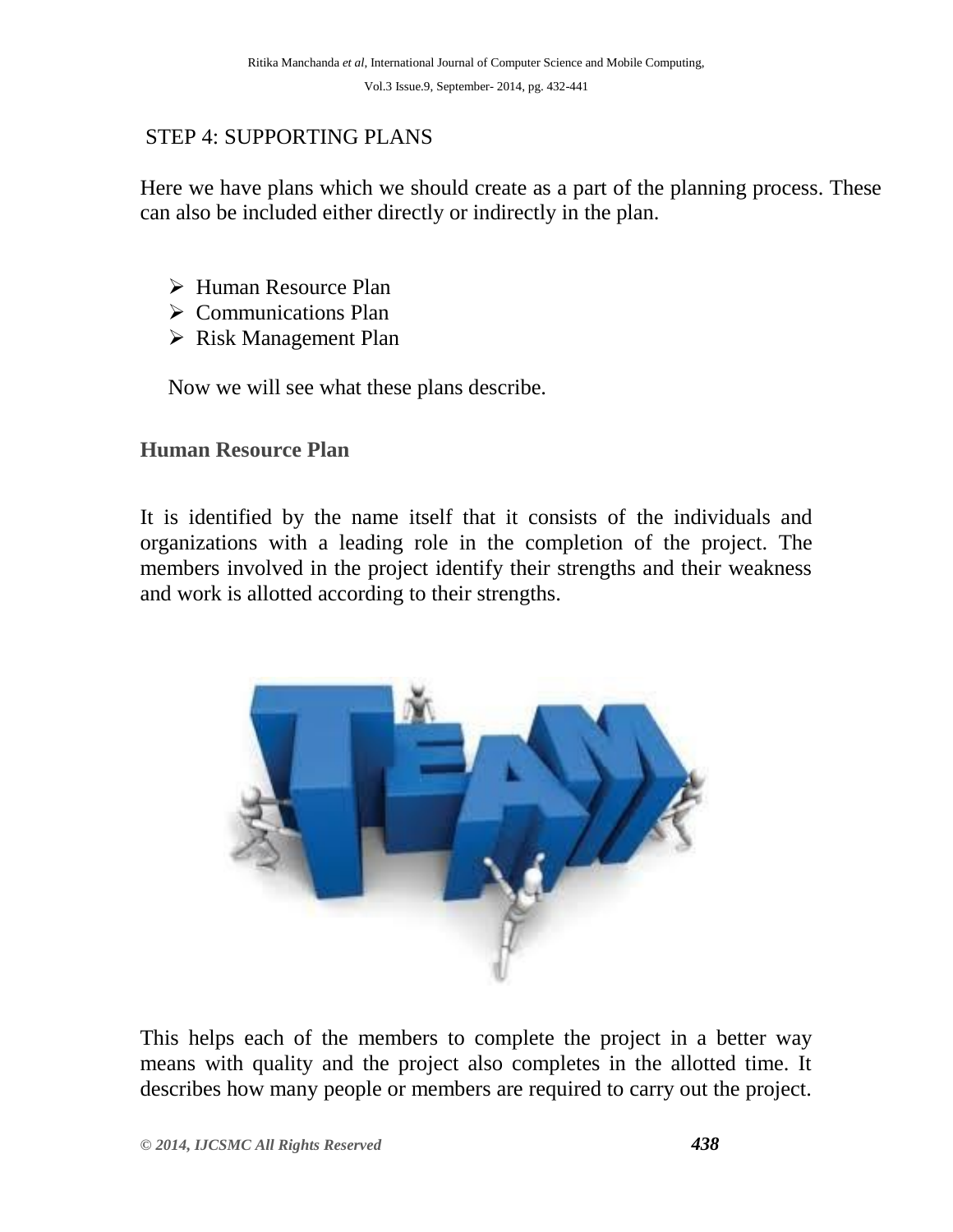# STEP 4: SUPPORTING PLANS

Here we have plans which we should create as a part of the planning process. These can also be included either directly or indirectly in the plan.

- Human Resource Plan
- $\triangleright$  Communications Plan
- $\triangleright$  Risk Management Plan

Now we will see what these plans describe.

## **Human Resource Plan**

It is identified by the name itself that it consists of the individuals and organizations with a leading role in the completion of the project. The members involved in the project identify their strengths and their weakness and work is allotted according to their strengths.



This helps each of the members to complete the project in a better way means with quality and the project also completes in the allotted time. It describes how many people or members are required to carry out the project.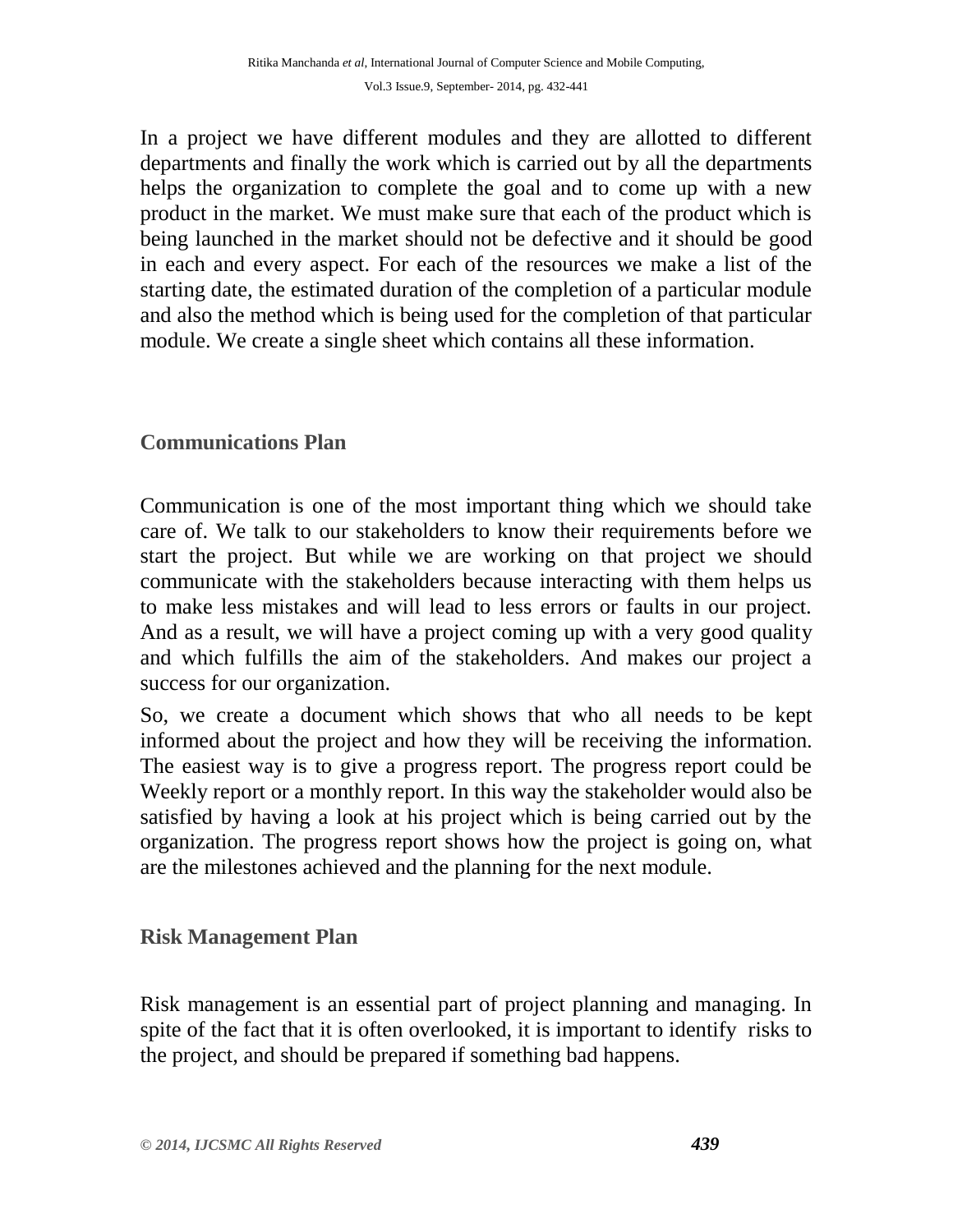In a project we have different modules and they are allotted to different departments and finally the work which is carried out by all the departments helps the organization to complete the goal and to come up with a new product in the market. We must make sure that each of the product which is being launched in the market should not be defective and it should be good in each and every aspect. For each of the resources we make a list of the starting date, the estimated duration of the completion of a particular module and also the method which is being used for the completion of that particular module. We create a single sheet which contains all these information.

## **Communications Plan**

Communication is one of the most important thing which we should take care of. We talk to our stakeholders to know their requirements before we start the project. But while we are working on that project we should communicate with the stakeholders because interacting with them helps us to make less mistakes and will lead to less errors or faults in our project. And as a result, we will have a project coming up with a very good quality and which fulfills the aim of the stakeholders. And makes our project a success for our organization.

So, we create a document which shows that who all needs to be kept informed about the project and how they will be receiving the information. The easiest way is to give a progress report. The progress report could be Weekly report or a monthly report. In this way the stakeholder would also be satisfied by having a look at his project which is being carried out by the organization. The progress report shows how the project is going on, what are the milestones achieved and the planning for the next module.

#### **Risk Management Plan**

Risk management is an essential part of project planning and managing. In spite of the fact that it is often overlooked, it is important to identify risks to the project, and should be prepared if something bad happens.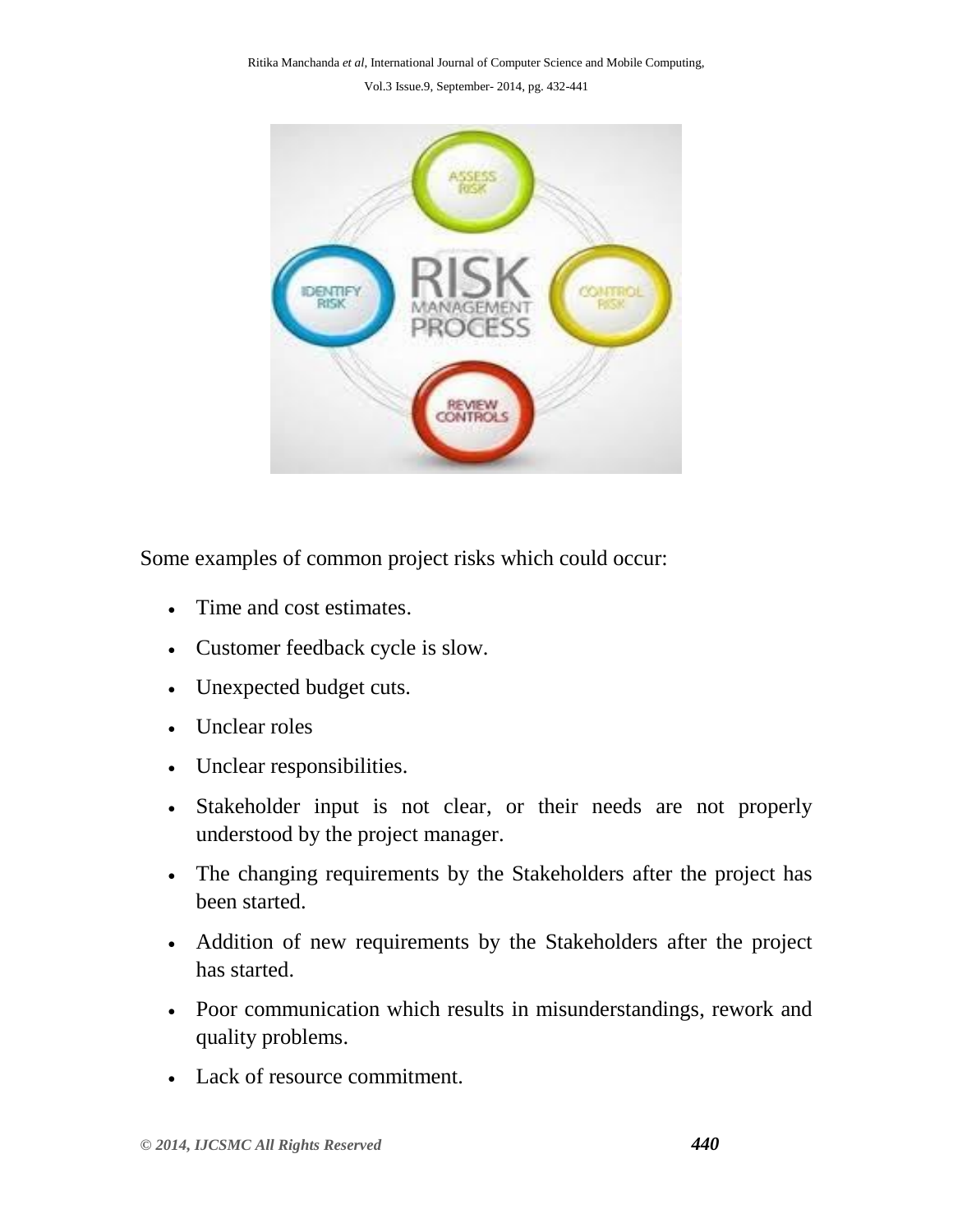Ritika Manchanda *et al*, International Journal of Computer Science and Mobile Computing,

Vol.3 Issue.9, September- 2014, pg. 432-441



Some examples of common project risks which could occur:

- Time and cost estimates.
- Customer feedback cycle is slow.
- Unexpected budget cuts.
- Unclear roles
- Unclear responsibilities.
- Stakeholder input is not clear, or their needs are not properly understood by the project manager.
- The changing requirements by the Stakeholders after the project has been started.
- Addition of new requirements by the Stakeholders after the project has started.
- Poor communication which results in misunderstandings, rework and quality problems.
- Lack of resource commitment.